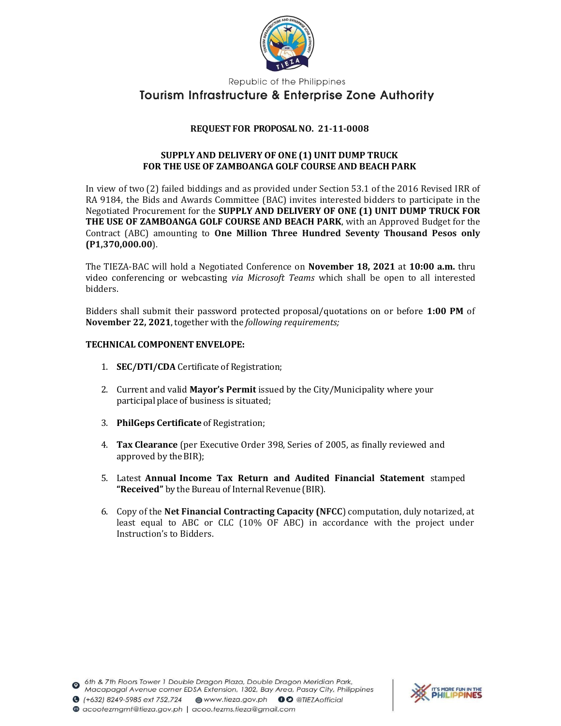

Republic of the Philippines

## **Tourism Infrastructure & Enterprise Zone Authority**

## REQUEST FOR PROPOSAL NO. 21-11-0008

## SUPPLY AND DELIVERY OF ONE (1) UNIT DUMP TRUCK FOR THE USE OF ZAMBOANGA GOLF COURSE AND BEACH PARK

In view of two (2) failed biddings and as provided under Section 53.1 of the 2016 Revised IRR of RA 9184, the Bids and Awards Committee (BAC) invites interested bidders to participate in the Negotiated Procurement for the SUPPLY AND DELIVERY OF ONE (1) UNIT DUMP TRUCK FOR THE USE OF ZAMBOANGA GOLF COURSE AND BEACH PARK, with an Approved Budget for the Contract (ABC) amounting to One Million Three Hundred Seventy Thousand Pesos only (P1,370,000.00).

The TIEZA-BAC will hold a Negotiated Conference on **November 18, 2021** at 10:00 a.m. thru video conferencing or webcasting via Microsoft Teams which shall be open to all interested bidders.

Bidders shall submit their password protected proposal/quotations on or before 1:00 PM of November 22, 2021, together with the following requirements;

## TECHNICAL COMPONENT ENVELOPE:

- 1. SEC/DTI/CDA Certificate of Registration;
- 2. Current and valid Mayor's Permit issued by the City/Municipality where your participal place of business is situated;
- 3. PhilGeps Certificate of Registration;
- 4. Tax Clearance (per Executive Order 398, Series of 2005, as finally reviewed and approved by the BIR);
- 5. Latest Annual Income Tax Return and Audited Financial Statement stamped "Received" by the Bureau of Internal Revenue (BIR).
- 6. Copy of the Net Financial Contracting Capacity (NFCC) computation, duly notarized, at least equal to ABC or CLC (10% OF ABC) in accordance with the project under Instruction's to Bidders.

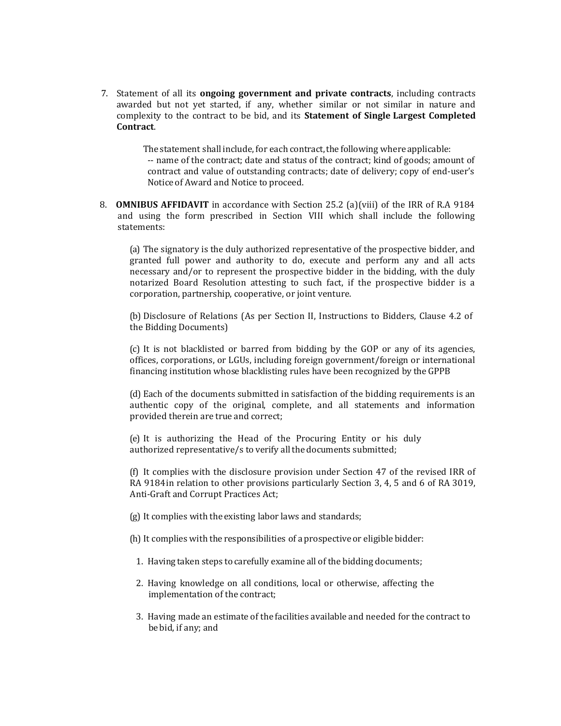7. Statement of all its ongoing government and private contracts, including contracts awarded but not yet started, if any, whether similar or not similar in nature and complexity to the contract to be bid, and its Statement of Single Largest Completed Contract.

> The statement shall include, for each contract, the following where applicable: -- name of the contract; date and status of the contract; kind of goods; amount of contract and value of outstanding contracts; date of delivery; copy of end-user's Notice of Award and Notice to proceed.

8. OMNIBUS AFFIDAVIT in accordance with Section 25.2 (a)(viii) of the IRR of R.A 9184 and using the form prescribed in Section VIII which shall include the following statements:

(a) The signatory is the duly authorized representative of the prospective bidder, and granted full power and authority to do, execute and perform any and all acts necessary and/or to represent the prospective bidder in the bidding, with the duly notarized Board Resolution attesting to such fact, if the prospective bidder is a corporation, partnership, cooperative, or joint venture.

(b) Disclosure of Relations (As per Section II, Instructions to Bidders, Clause 4.2 of the Bidding Documents)

(c) It is not blacklisted or barred from bidding by the GOP or any of its agencies, offices, corporations, or LGUs, including foreign government/foreign or international financing institution whose blacklisting rules have been recognized by the GPPB

(d) Each of the documents submitted in satisfaction of the bidding requirements is an authentic copy of the original, complete, and all statements and information provided therein are true and correct;

(e) It is authorizing the Head of the Procuring Entity or his duly authorized representative/s to verify all the documents submitted;

(f) It complies with the disclosure provision under Section 47 of the revised IRR of RA 9184 in relation to other provisions particularly Section 3, 4, 5 and 6 of RA 3019, Anti-Graft and Corrupt Practices Act;

- (g) It complies with the existing labor laws and standards;
- (h) It complies with the responsibilities of a prospective or eligible bidder:
	- 1. Having taken steps to carefully examine all of the bidding documents;
	- 2. Having knowledge on all conditions, local or otherwise, affecting the implementation of the contract;
	- 3. Having made an estimate of the facilities available and needed for the contract to be bid, if any; and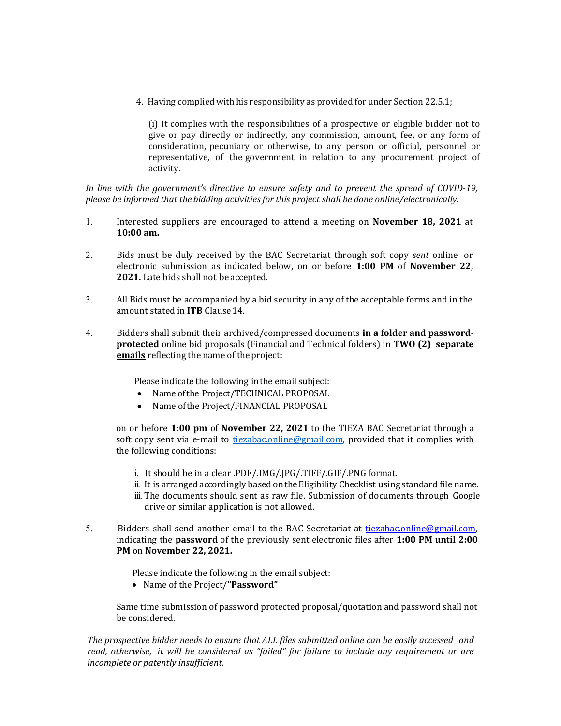4. Having complied with his responsibility as provided for under Section 22.5.1;

(i) It complies with the responsibilities of a prospective or eligible bidder not to give or pay directly or indirectly, any commission, amount, fee, or any form of consideration, pecuniary or otherwise, to any person or official, personnel or representative, of the government in relation to any procurement project of activity.

In line with the government's directive to ensure safety and to prevent the spread of COVID-19, please be informed that the bidding activities for this project shall be done online/electronically.

- 1. Interested suppliers are encouraged to attend a meeting on November 18, 2021 at 10:00 am.
- 2. Bids must be duly received by the BAC Secretariat through soft copy sent online or electronic submission as indicated below, on or before 1:00 PM of November 22, 2021. Late bids shall not be accepted.
- 3. All Bids must be accompanied by a bid security in any of the acceptable forms and in the amount stated in ITB Clause 14.
- 4. Bidders shall submit their archived/compressed documents in a folder and passwordprotected online bid proposals (Financial and Technical folders) in TWO (2) separate emails reflecting the name of the project:

Please indicate the following in the email subject:

- Name of the Project/TECHNICAL PROPOSAL
- Name of the Project/FINANCIAL PROPOSAL

on or before 1:00 pm of November 22, 2021 to the TIEZA BAC Secretariat through a soft copy sent via e-mail to tiezabac.online@gmail.com, provided that it complies with the following conditions:

- i. It should be in a clear .PDF/.IMG/.JPG/.TIFF/.GIF/.PNG format.
- ii. It is arranged accordingly based on the Eligibility Checklist using standard file name.
- iii. The documents should sent as raw file. Submission of documents through Google drive or similar application is not allowed.
- 5. Bidders shall send another email to the BAC Secretariat at tiezabac.online@gmail.com, indicating the password of the previously sent electronic files after 1:00 PM until 2:00 PM on November 22, 2021.

Please indicate the following in the email subject:

Name of the Project/"Password"

Same time submission of password protected proposal/quotation and password shall not be considered.

The prospective bidder needs to ensure that ALL files submitted online can be easily accessed and read, otherwise, it will be considered as "failed" for failure to include any requirement or are incomplete or patently insufficient.